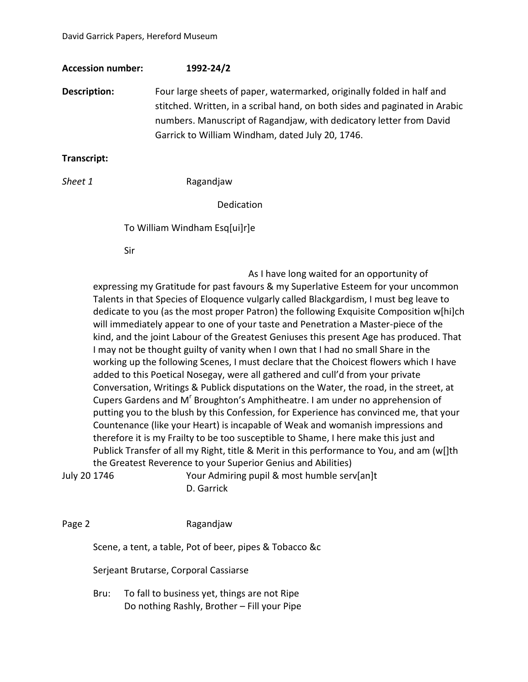| <b>Accession number:</b> | 1992-24/2                                                                                                                                                                                                                                                                                                                                                                                                                                                                                                                                                                                                                                                                              |
|--------------------------|----------------------------------------------------------------------------------------------------------------------------------------------------------------------------------------------------------------------------------------------------------------------------------------------------------------------------------------------------------------------------------------------------------------------------------------------------------------------------------------------------------------------------------------------------------------------------------------------------------------------------------------------------------------------------------------|
| Description:             | Four large sheets of paper, watermarked, originally folded in half and<br>stitched. Written, in a scribal hand, on both sides and paginated in Arabic<br>numbers. Manuscript of Ragandjaw, with dedicatory letter from David<br>Garrick to William Windham, dated July 20, 1746.                                                                                                                                                                                                                                                                                                                                                                                                       |
| Transcript:              |                                                                                                                                                                                                                                                                                                                                                                                                                                                                                                                                                                                                                                                                                        |
| Sheet 1                  | Ragandjaw                                                                                                                                                                                                                                                                                                                                                                                                                                                                                                                                                                                                                                                                              |
|                          | Dedication                                                                                                                                                                                                                                                                                                                                                                                                                                                                                                                                                                                                                                                                             |
|                          | To William Windham Esq[ui]r]e                                                                                                                                                                                                                                                                                                                                                                                                                                                                                                                                                                                                                                                          |
| Sir                      |                                                                                                                                                                                                                                                                                                                                                                                                                                                                                                                                                                                                                                                                                        |
|                          | As I have long waited for an opportunity of<br>expressing my Gratitude for past favours & my Superlative Esteem for your uncommon<br>Talents in that Species of Eloquence vulgarly called Blackgardism, I must beg leave to<br>dedicate to you (as the most proper Patron) the following Exquisite Composition w[hi]ch<br>will immediately appear to one of your taste and Penetration a Master-piece of the<br>kind, and the joint Labour of the Greatest Geniuses this present Age has produced. That<br>I may not be thought guilty of vanity when I own that I had no small Share in the<br>working up the following Scenes, I must declare that the Choicest flowers which I have |

Countenance (like your Heart) is incapable of Weak and womanish impressions and therefore it is my Frailty to be too susceptible to Shame, I here make this just and Publick Transfer of all my Right, title & Merit in this performance to You, and am (w[]th the Greatest Reverence to your Superior Genius and Abilities) July 20 1746 Your Admiring pupil & most humble serv[an]t

D. Garrick

added to this Poetical Nosegay, were all gathered and cull'd from your private

Conversation, Writings & Publick disputations on the Water, the road, in the street, at Cupers Gardens and M<sup>r</sup> Broughton's Amphitheatre. I am under no apprehension of putting you to the blush by this Confession, for Experience has convinced me, that your

Page 2 **Ragandjaw** 

Scene, a tent, a table, Pot of beer, pipes & Tobacco &c

Serjeant Brutarse, Corporal Cassiarse

Bru: To fall to business yet, things are not Ripe Do nothing Rashly, Brother – Fill your Pipe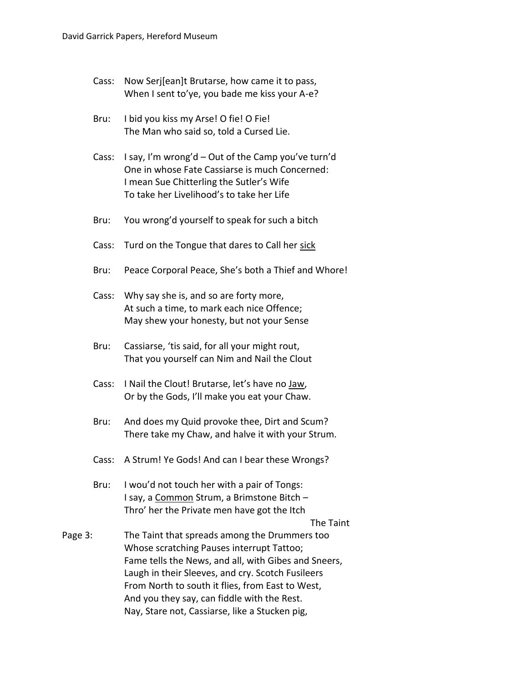- Cass: Now Serj[ean]t Brutarse, how came it to pass, When I sent to'ye, you bade me kiss your A-e?
- Bru: I bid you kiss my Arse! O fie! O Fie! The Man who said so, told a Cursed Lie.
- Cass: I say, I'm wrong'd Out of the Camp you've turn'd One in whose Fate Cassiarse is much Concerned: I mean Sue Chitterling the Sutler's Wife To take her Livelihood's to take her Life
- Bru: You wrong'd yourself to speak for such a bitch
- Cass: Turd on the Tongue that dares to Call her sick
- Bru: Peace Corporal Peace, She's both a Thief and Whore!
- Cass: Why say she is, and so are forty more, At such a time, to mark each nice Offence; May shew your honesty, but not your Sense
- Bru: Cassiarse, 'tis said, for all your might rout, That you yourself can Nim and Nail the Clout
- Cass: I Nail the Clout! Brutarse, let's have no Jaw, Or by the Gods, I'll make you eat your Chaw.
- Bru: And does my Quid provoke thee, Dirt and Scum? There take my Chaw, and halve it with your Strum.
- Cass: A Strum! Ye Gods! And can I bear these Wrongs?
- Bru: I wou'd not touch her with a pair of Tongs: I say, a Common Strum, a Brimstone Bitch – Thro' her the Private men have got the Itch

The Taint

Page 3: The Taint that spreads among the Drummers too Whose scratching Pauses interrupt Tattoo; Fame tells the News, and all, with Gibes and Sneers, Laugh in their Sleeves, and cry. Scotch Fusileers From North to south it flies, from East to West, And you they say, can fiddle with the Rest. Nay, Stare not, Cassiarse, like a Stucken pig,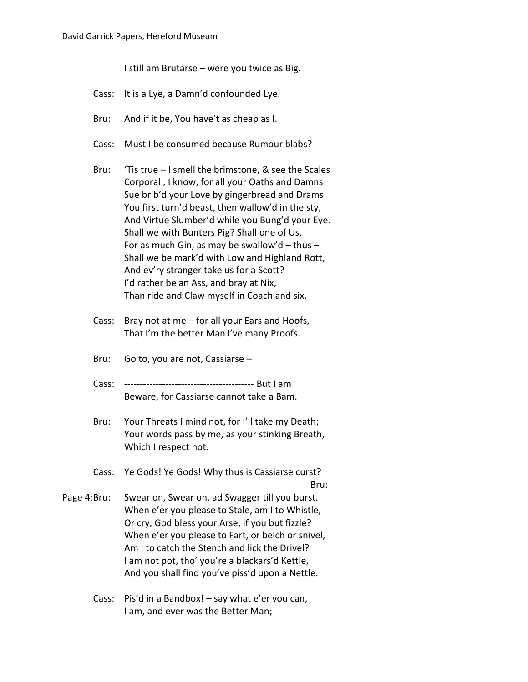I still am Brutarse – were you twice as Big.

- Cass: It is a Lye, a Damn'd confounded Lye.
- Bru: And if it be, You have't as cheap as I.
- Cass: Must I be consumed because Rumour blabs?
- Bru: 'Tis true I smell the brimstone, & see the Scales Corporal , I know, for all your Oaths and Damns Sue brib'd your Love by gingerbread and Drams You first turn'd beast, then wallow'd in the sty, And Virtue Slumber'd while you Bung'd your Eye. Shall we with Bunters Pig? Shall one of Us, For as much Gin, as may be swallow'd  $-$  thus  $-$ Shall we be mark'd with Low and Highland Rott, And ev'ry stranger take us for a Scott? I'd rather be an Ass, and bray at Nix, Than ride and Claw myself in Coach and six.
- Cass: Bray not at me for all your Ears and Hoofs, That I'm the better Man I've many Proofs.
- Bru: Go to, you are not, Cassiarse –
- Cass: ----------------------------------------- But I am Beware, for Cassiarse cannot take a Bam.
- Bru: Your Threats I mind not, for I'll take my Death; Your words pass by me, as your stinking Breath, Which I respect not.
- Cass: Ye Gods! Ye Gods! Why thus is Cassiarse curst? Bru:
- Page 4:Bru: Swear on, Swear on, ad Swagger till you burst. When e'er you please to Stale, am I to Whistle, Or cry, God bless your Arse, if you but fizzle? When e'er you please to Fart, or belch or snivel, Am I to catch the Stench and lick the Drivel? I am not pot, tho' you're a blackars'd Kettle, And you shall find you've piss'd upon a Nettle.
	- Cass: Pis'd in a Bandbox! say what e'er you can, I am, and ever was the Better Man;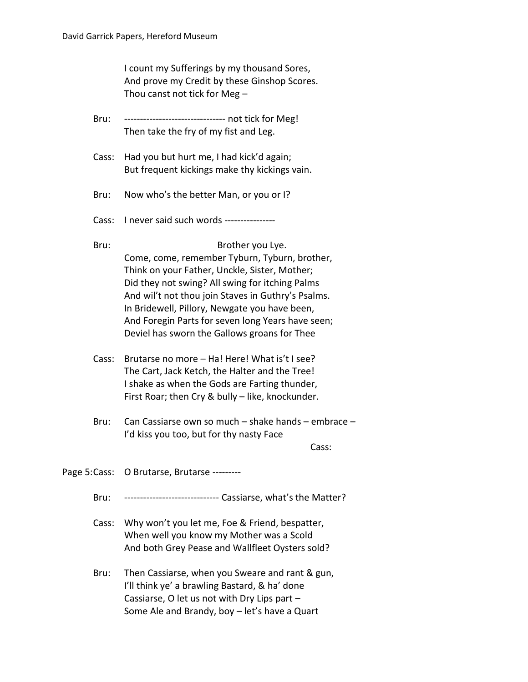I count my Sufferings by my thousand Sores, And prove my Credit by these Ginshop Scores. Thou canst not tick for Meg –

| Bru:  |                                                                                                  |  |
|-------|--------------------------------------------------------------------------------------------------|--|
|       | Then take the fry of my fist and Leg.                                                            |  |
| Cass: | Had you but hurt me, I had kick'd again;                                                         |  |
|       | But frequent kickings make thy kickings vain.                                                    |  |
| Bru:  | Now who's the better Man, or you or I?                                                           |  |
| Cass: | I never said such words ---------------                                                          |  |
| Bru:  | Brother you Lye.                                                                                 |  |
|       | Come, come, remember Tyburn, Tyburn, brother,                                                    |  |
|       | Think on your Father, Unckle, Sister, Mother;<br>Did they not swing? All swing for itching Palms |  |
|       | And wil't not thou join Staves in Guthry's Psalms.                                               |  |
|       | In Bridewell, Pillory, Newgate you have been,                                                    |  |
|       | And Foregin Parts for seven long Years have seen;                                                |  |
|       | Deviel has sworn the Gallows groans for Thee                                                     |  |
| Cass: | Brutarse no more - Ha! Here! What is't I see?                                                    |  |
|       | The Cart, Jack Ketch, the Halter and the Tree!                                                   |  |
|       | I shake as when the Gods are Farting thunder,                                                    |  |
|       | First Roar; then Cry & bully - like, knockunder.                                                 |  |
| Bru:  | Can Cassiarse own so much - shake hands - embrace -                                              |  |
|       | I'd kiss you too, but for thy nasty Face<br>Cass:                                                |  |
|       |                                                                                                  |  |
|       | Page 5: Cass: O Brutarse, Brutarse ---------                                                     |  |
| Bru:  | ----------------------------- Cassiarse, what's the Matter?                                      |  |
| Cass: | Why won't you let me, Foe & Friend, bespatter,                                                   |  |
|       | When well you know my Mother was a Scold                                                         |  |
|       | And both Grey Pease and Wallfleet Oysters sold?                                                  |  |
| Bru:  | Then Cassiarse, when you Sweare and rant & gun,                                                  |  |
|       | I'll think ye' a brawling Bastard, & ha' done                                                    |  |

Cassiarse, O let us not with Dry Lips part – Some Ale and Brandy, boy – let's have a Quart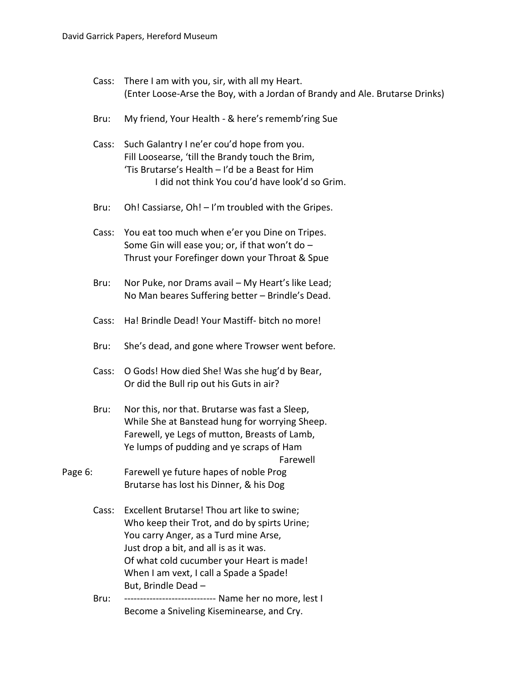- Cass: There I am with you, sir, with all my Heart. (Enter Loose-Arse the Boy, with a Jordan of Brandy and Ale. Brutarse Drinks)
- Bru: My friend, Your Health & here's rememb'ring Sue
- Cass: Such Galantry I ne'er cou'd hope from you. Fill Loosearse, 'till the Brandy touch the Brim, 'Tis Brutarse's Health – I'd be a Beast for Him I did not think You cou'd have look'd so Grim.
- Bru: Oh! Cassiarse, Oh! I'm troubled with the Gripes.
- Cass: You eat too much when e'er you Dine on Tripes. Some Gin will ease you; or, if that won't do  $-$ Thrust your Forefinger down your Throat & Spue
- Bru: Nor Puke, nor Drams avail My Heart's like Lead; No Man beares Suffering better – Brindle's Dead.
- Cass: Ha! Brindle Dead! Your Mastiff- bitch no more!
- Bru: She's dead, and gone where Trowser went before.
- Cass: O Gods! How died She! Was she hug'd by Bear, Or did the Bull rip out his Guts in air?
- Bru: Nor this, nor that. Brutarse was fast a Sleep, While She at Banstead hung for worrying Sheep. Farewell, ye Legs of mutton, Breasts of Lamb, Ye lumps of pudding and ye scraps of Ham Farewell
- Page 6: Farewell ye future hapes of noble Prog Brutarse has lost his Dinner, & his Dog
	- Cass: Excellent Brutarse! Thou art like to swine; Who keep their Trot, and do by spirts Urine; You carry Anger, as a Turd mine Arse, Just drop a bit, and all is as it was. Of what cold cucumber your Heart is made! When I am vext, I call a Spade a Spade! But, Brindle Dead –
	- Bru: ----------------------------- Name her no more, lest I Become a Sniveling Kiseminearse, and Cry.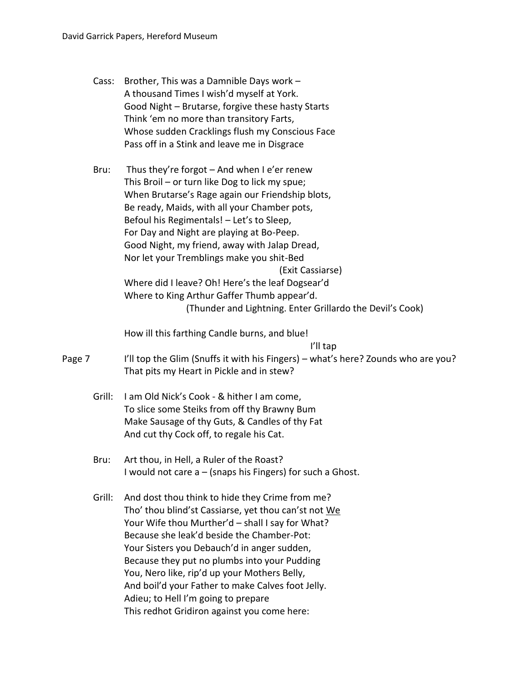| Cass:  | Brother, This was a Damnible Days work -<br>A thousand Times I wish'd myself at York.<br>Good Night - Brutarse, forgive these hasty Starts<br>Think 'em no more than transitory Farts,<br>Whose sudden Cracklings flush my Conscious Face<br>Pass off in a Stink and leave me in Disgrace                                                                                                                                                                                                                                                                                     |
|--------|-------------------------------------------------------------------------------------------------------------------------------------------------------------------------------------------------------------------------------------------------------------------------------------------------------------------------------------------------------------------------------------------------------------------------------------------------------------------------------------------------------------------------------------------------------------------------------|
| Bru:   | Thus they're forgot - And when I e'er renew<br>This Broil - or turn like Dog to lick my spue;<br>When Brutarse's Rage again our Friendship blots,<br>Be ready, Maids, with all your Chamber pots,<br>Befoul his Regimentals! - Let's to Sleep,<br>For Day and Night are playing at Bo-Peep.<br>Good Night, my friend, away with Jalap Dread,<br>Nor let your Tremblings make you shit-Bed<br>(Exit Cassiarse)<br>Where did I leave? Oh! Here's the leaf Dogsear'd<br>Where to King Arthur Gaffer Thumb appear'd.<br>(Thunder and Lightning. Enter Grillardo the Devil's Cook) |
|        | How ill this farthing Candle burns, and blue!                                                                                                                                                                                                                                                                                                                                                                                                                                                                                                                                 |
| Page 7 | I'll tap<br>I'll top the Glim (Snuffs it with his Fingers) - what's here? Zounds who are you?<br>That pits my Heart in Pickle and in stew?                                                                                                                                                                                                                                                                                                                                                                                                                                    |
| Grill: | I am Old Nick's Cook - & hither I am come,<br>To slice some Steiks from off thy Brawny Bum<br>Make Sausage of thy Guts, & Candles of thy Fat<br>And cut thy Cock off, to regale his Cat.                                                                                                                                                                                                                                                                                                                                                                                      |
| Bru:   | Art thou, in Hell, a Ruler of the Roast?<br>I would not care $a - (s$ naps his Fingers) for such a Ghost.                                                                                                                                                                                                                                                                                                                                                                                                                                                                     |
| Grill: | And dost thou think to hide they Crime from me?<br>Tho' thou blind'st Cassiarse, yet thou can'st not We<br>Your Wife thou Murther'd - shall I say for What?<br>Because she leak'd beside the Chamber-Pot:<br>Your Sisters you Debauch'd in anger sudden,<br>Because they put no plumbs into your Pudding<br>You, Nero like, rip'd up your Mothers Belly,<br>And boil'd your Father to make Calves foot Jelly.<br>Adieu; to Hell I'm going to prepare<br>This redhot Gridiron against you come here:                                                                           |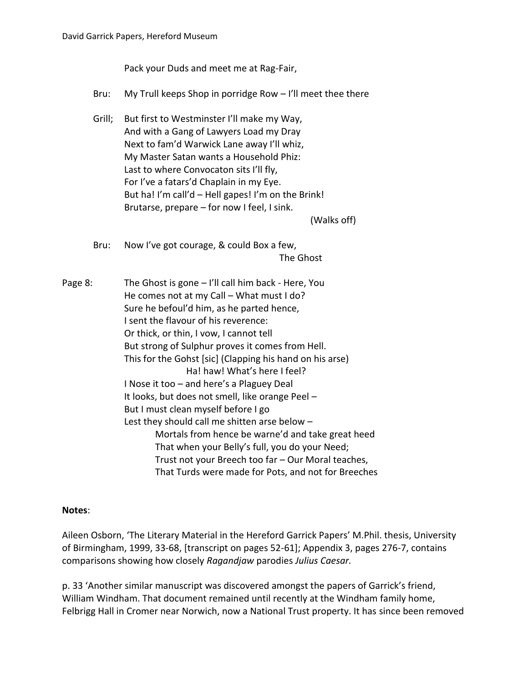Pack your Duds and meet me at Rag-Fair,

- Bru: My Trull keeps Shop in porridge Row I'll meet thee there
- Grill; But first to Westminster I'll make my Way, And with a Gang of Lawyers Load my Dray Next to fam'd Warwick Lane away I'll whiz, My Master Satan wants a Household Phiz: Last to where Convocaton sits I'll fly, For I've a fatars'd Chaplain in my Eye. But ha! I'm call'd – Hell gapes! I'm on the Brink! Brutarse, prepare – for now I feel, I sink.

(Walks off)

Bru: Now I've got courage, & could Box a few, The Ghost

Page 8: The Ghost is gone – I'll call him back - Here, You He comes not at my Call – What must I do? Sure he befoul'd him, as he parted hence, I sent the flavour of his reverence: Or thick, or thin, I vow, I cannot tell But strong of Sulphur proves it comes from Hell. This for the Gohst [sic] (Clapping his hand on his arse) Ha! haw! What's here I feel? I Nose it too – and here's a Plaguey Deal It looks, but does not smell, like orange Peel – But I must clean myself before I go Lest they should call me shitten arse below – Mortals from hence be warne'd and take great heed That when your Belly's full, you do your Need; Trust not your Breech too far – Our Moral teaches, That Turds were made for Pots, and not for Breeches

## **Notes**:

Aileen Osborn, 'The Literary Material in the Hereford Garrick Papers' M.Phil. thesis, University of Birmingham, 1999, 33-68, [transcript on pages 52-61]; Appendix 3, pages 276-7, contains comparisons showing how closely *Ragandjaw* parodies *Julius Caesar.*

p. 33 'Another similar manuscript was discovered amongst the papers of Garrick's friend, William Windham. That document remained until recently at the Windham family home, Felbrigg Hall in Cromer near Norwich, now a National Trust property. It has since been removed